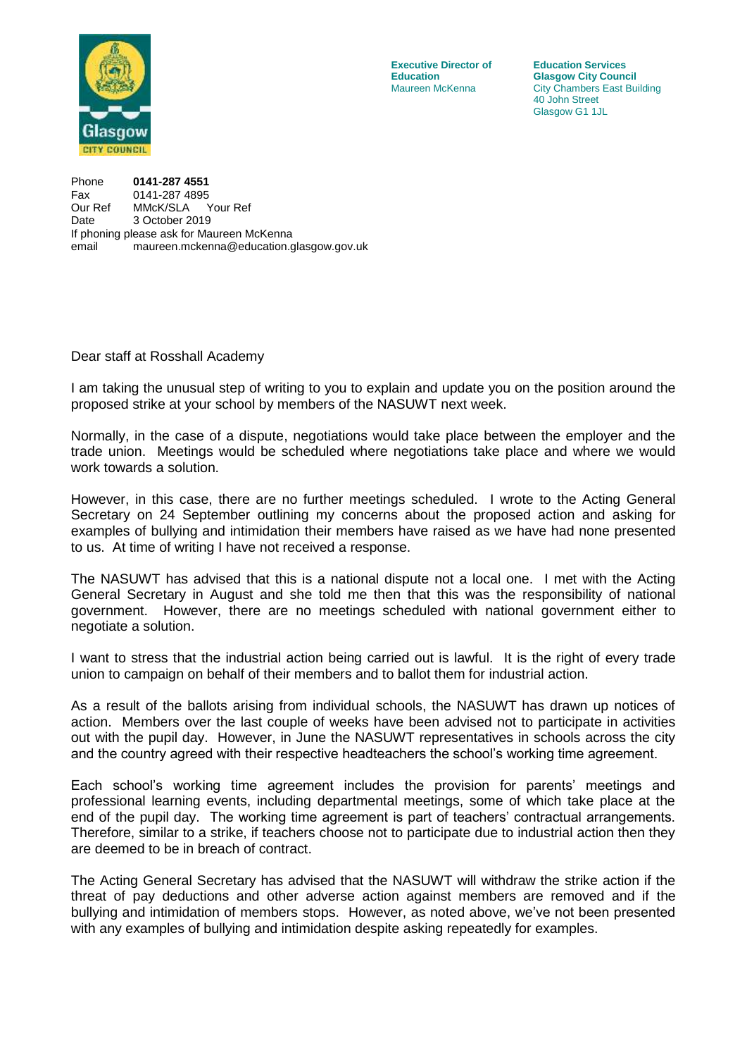

**Education**<br> **Maureen McKenna Glasgow City Chambers East Bu City Chambers East Bu** 

**Executive Director of Education Services**<br> **Education Glasgow City Counce City Chambers East Building** 40 John Street Glasgow G1 1JL

Phone **0141-287 4551** Fax 0141-287 4895 Our Ref MMcK/SLA Your Ref Date 3 October 2019 If phoning please ask for Maureen McKenna email maureen.mckenna@education.glasgow.gov.uk

Dear staff at Rosshall Academy

I am taking the unusual step of writing to you to explain and update you on the position around the proposed strike at your school by members of the NASUWT next week.

Normally, in the case of a dispute, negotiations would take place between the employer and the trade union. Meetings would be scheduled where negotiations take place and where we would work towards a solution.

However, in this case, there are no further meetings scheduled. I wrote to the Acting General Secretary on 24 September outlining my concerns about the proposed action and asking for examples of bullying and intimidation their members have raised as we have had none presented to us. At time of writing I have not received a response.

The NASUWT has advised that this is a national dispute not a local one. I met with the Acting General Secretary in August and she told me then that this was the responsibility of national government. However, there are no meetings scheduled with national government either to negotiate a solution.

I want to stress that the industrial action being carried out is lawful. It is the right of every trade union to campaign on behalf of their members and to ballot them for industrial action.

As a result of the ballots arising from individual schools, the NASUWT has drawn up notices of action. Members over the last couple of weeks have been advised not to participate in activities out with the pupil day. However, in June the NASUWT representatives in schools across the city and the country agreed with their respective headteachers the school's working time agreement.

Each school's working time agreement includes the provision for parents' meetings and professional learning events, including departmental meetings, some of which take place at the end of the pupil day. The working time agreement is part of teachers' contractual arrangements. Therefore, similar to a strike, if teachers choose not to participate due to industrial action then they are deemed to be in breach of contract.

The Acting General Secretary has advised that the NASUWT will withdraw the strike action if the threat of pay deductions and other adverse action against members are removed and if the bullying and intimidation of members stops. However, as noted above, we've not been presented with any examples of bullying and intimidation despite asking repeatedly for examples.